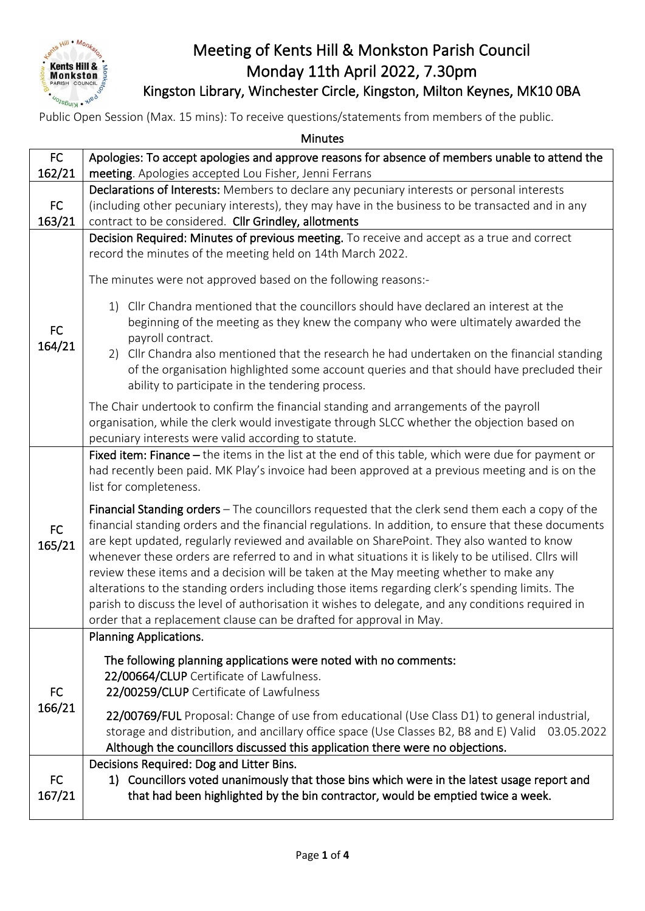

## Meeting of Kents Hill & Monkston Parish Council Monday 11th April 2022, 7.30pm Kingston Library, Winchester Circle, Kingston, Milton Keynes, MK10 0BA

Public Open Session (Max. 15 mins): To receive questions/statements from members of the public.

| <b>Minutes</b>      |                                                                                                                                                                                                                                                                                                                                                                                                                                                                                                                                                                                                                                                                                                                                                                                           |  |
|---------------------|-------------------------------------------------------------------------------------------------------------------------------------------------------------------------------------------------------------------------------------------------------------------------------------------------------------------------------------------------------------------------------------------------------------------------------------------------------------------------------------------------------------------------------------------------------------------------------------------------------------------------------------------------------------------------------------------------------------------------------------------------------------------------------------------|--|
| FC                  | Apologies: To accept apologies and approve reasons for absence of members unable to attend the                                                                                                                                                                                                                                                                                                                                                                                                                                                                                                                                                                                                                                                                                            |  |
| 162/21              | meeting. Apologies accepted Lou Fisher, Jenni Ferrans                                                                                                                                                                                                                                                                                                                                                                                                                                                                                                                                                                                                                                                                                                                                     |  |
|                     | Declarations of Interests: Members to declare any pecuniary interests or personal interests                                                                                                                                                                                                                                                                                                                                                                                                                                                                                                                                                                                                                                                                                               |  |
| <b>FC</b>           | (including other pecuniary interests), they may have in the business to be transacted and in any                                                                                                                                                                                                                                                                                                                                                                                                                                                                                                                                                                                                                                                                                          |  |
| 163/21              | contract to be considered. Cllr Grindley, allotments                                                                                                                                                                                                                                                                                                                                                                                                                                                                                                                                                                                                                                                                                                                                      |  |
| <b>FC</b><br>164/21 | Decision Required: Minutes of previous meeting. To receive and accept as a true and correct<br>record the minutes of the meeting held on 14th March 2022.<br>The minutes were not approved based on the following reasons:-<br>1) Cllr Chandra mentioned that the councillors should have declared an interest at the<br>beginning of the meeting as they knew the company who were ultimately awarded the<br>payroll contract.<br>2) Cllr Chandra also mentioned that the research he had undertaken on the financial standing<br>of the organisation highlighted some account queries and that should have precluded their<br>ability to participate in the tendering process.                                                                                                          |  |
|                     | The Chair undertook to confirm the financial standing and arrangements of the payroll<br>organisation, while the clerk would investigate through SLCC whether the objection based on<br>pecuniary interests were valid according to statute.                                                                                                                                                                                                                                                                                                                                                                                                                                                                                                                                              |  |
| <b>FC</b><br>165/21 | Fixed item: Finance $-$ the items in the list at the end of this table, which were due for payment or<br>had recently been paid. MK Play's invoice had been approved at a previous meeting and is on the<br>list for completeness.                                                                                                                                                                                                                                                                                                                                                                                                                                                                                                                                                        |  |
|                     | Financial Standing orders - The councillors requested that the clerk send them each a copy of the<br>financial standing orders and the financial regulations. In addition, to ensure that these documents<br>are kept updated, regularly reviewed and available on SharePoint. They also wanted to know<br>whenever these orders are referred to and in what situations it is likely to be utilised. Cllrs will<br>review these items and a decision will be taken at the May meeting whether to make any<br>alterations to the standing orders including those items regarding clerk's spending limits. The<br>parish to discuss the level of authorisation it wishes to delegate, and any conditions required in<br>order that a replacement clause can be drafted for approval in May. |  |
|                     | <b>Planning Applications.</b>                                                                                                                                                                                                                                                                                                                                                                                                                                                                                                                                                                                                                                                                                                                                                             |  |
| <b>FC</b><br>166/21 | The following planning applications were noted with no comments:<br>22/00664/CLUP Certificate of Lawfulness.<br>22/00259/CLUP Certificate of Lawfulness<br>22/00769/FUL Proposal: Change of use from educational (Use Class D1) to general industrial,<br>storage and distribution, and ancillary office space (Use Classes B2, B8 and E) Valid<br>03.05.2022<br>Although the councillors discussed this application there were no objections.                                                                                                                                                                                                                                                                                                                                            |  |
| <b>FC</b><br>167/21 | Decisions Required: Dog and Litter Bins.<br>1) Councillors voted unanimously that those bins which were in the latest usage report and<br>that had been highlighted by the bin contractor, would be emptied twice a week.                                                                                                                                                                                                                                                                                                                                                                                                                                                                                                                                                                 |  |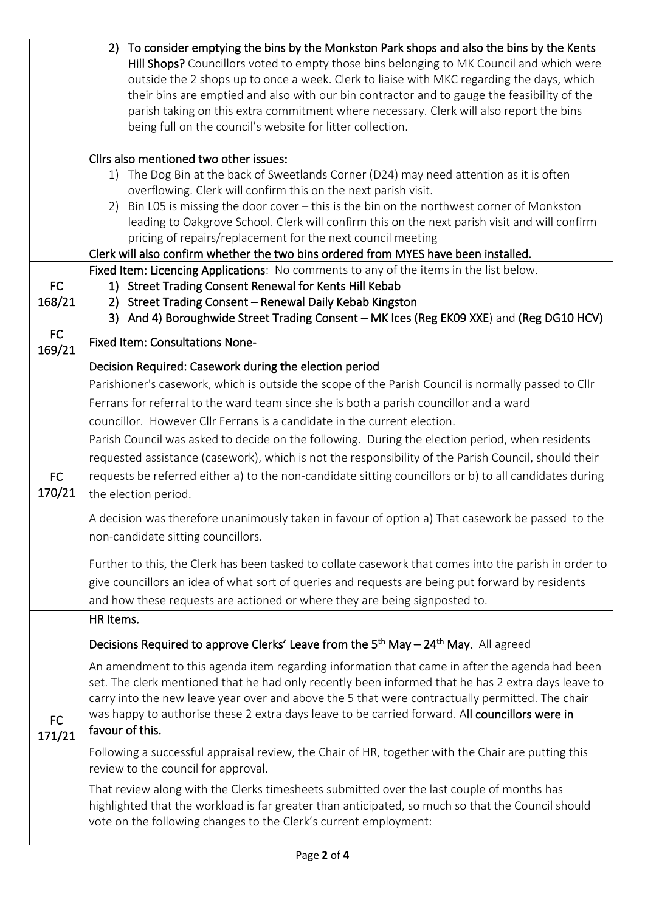|           | To consider emptying the bins by the Monkston Park shops and also the bins by the Kents<br>2)                                                              |
|-----------|------------------------------------------------------------------------------------------------------------------------------------------------------------|
|           | Hill Shops? Councillors voted to empty those bins belonging to MK Council and which were                                                                   |
|           | outside the 2 shops up to once a week. Clerk to liaise with MKC regarding the days, which                                                                  |
|           | their bins are emptied and also with our bin contractor and to gauge the feasibility of the                                                                |
|           | parish taking on this extra commitment where necessary. Clerk will also report the bins                                                                    |
|           | being full on the council's website for litter collection.                                                                                                 |
|           | Cllrs also mentioned two other issues:                                                                                                                     |
|           | 1) The Dog Bin at the back of Sweetlands Corner (D24) may need attention as it is often                                                                    |
|           | overflowing. Clerk will confirm this on the next parish visit.                                                                                             |
|           | 2) Bin L05 is missing the door cover - this is the bin on the northwest corner of Monkston                                                                 |
|           | leading to Oakgrove School. Clerk will confirm this on the next parish visit and will confirm                                                              |
|           | pricing of repairs/replacement for the next council meeting                                                                                                |
|           | Clerk will also confirm whether the two bins ordered from MYES have been installed.                                                                        |
|           | Fixed Item: Licencing Applications: No comments to any of the items in the list below.                                                                     |
| <b>FC</b> | 1) Street Trading Consent Renewal for Kents Hill Kebab                                                                                                     |
| 168/21    | Street Trading Consent - Renewal Daily Kebab Kingston<br>2)<br>And 4) Boroughwide Street Trading Consent - MK Ices (Reg EK09 XXE) and (Reg DG10 HCV)<br>3) |
| <b>FC</b> |                                                                                                                                                            |
| 169/21    | <b>Fixed Item: Consultations None-</b>                                                                                                                     |
|           | Decision Required: Casework during the election period                                                                                                     |
|           | Parishioner's casework, which is outside the scope of the Parish Council is normally passed to Cllr                                                        |
|           | Ferrans for referral to the ward team since she is both a parish councillor and a ward                                                                     |
|           | councillor. However Cllr Ferrans is a candidate in the current election.                                                                                   |
|           | Parish Council was asked to decide on the following. During the election period, when residents                                                            |
|           | requested assistance (casework), which is not the responsibility of the Parish Council, should their                                                       |
| <b>FC</b> | requests be referred either a) to the non-candidate sitting councillors or b) to all candidates during                                                     |
| 170/21    |                                                                                                                                                            |
|           | the election period.                                                                                                                                       |
|           | A decision was therefore unanimously taken in favour of option a) That casework be passed to the<br>non-candidate sitting councillors.                     |
|           |                                                                                                                                                            |
|           | Further to this, the Clerk has been tasked to collate casework that comes into the parish in order to                                                      |
|           | give councillors an idea of what sort of queries and requests are being put forward by residents                                                           |
|           | and how these requests are actioned or where they are being signposted to.                                                                                 |
|           | HR Items.                                                                                                                                                  |
|           | Decisions Required to approve Clerks' Leave from the 5 <sup>th</sup> May - 24 <sup>th</sup> May. All agreed                                                |
|           | An amendment to this agenda item regarding information that came in after the agenda had been                                                              |
|           | set. The clerk mentioned that he had only recently been informed that he has 2 extra days leave to                                                         |
|           | carry into the new leave year over and above the 5 that were contractually permitted. The chair                                                            |
| <b>FC</b> | was happy to authorise these 2 extra days leave to be carried forward. All councillors were in                                                             |
| 171/21    | favour of this.                                                                                                                                            |
|           | Following a successful appraisal review, the Chair of HR, together with the Chair are putting this<br>review to the council for approval.                  |
|           | That review along with the Clerks timesheets submitted over the last couple of months has                                                                  |
|           | highlighted that the workload is far greater than anticipated, so much so that the Council should                                                          |
|           | vote on the following changes to the Clerk's current employment:                                                                                           |
|           |                                                                                                                                                            |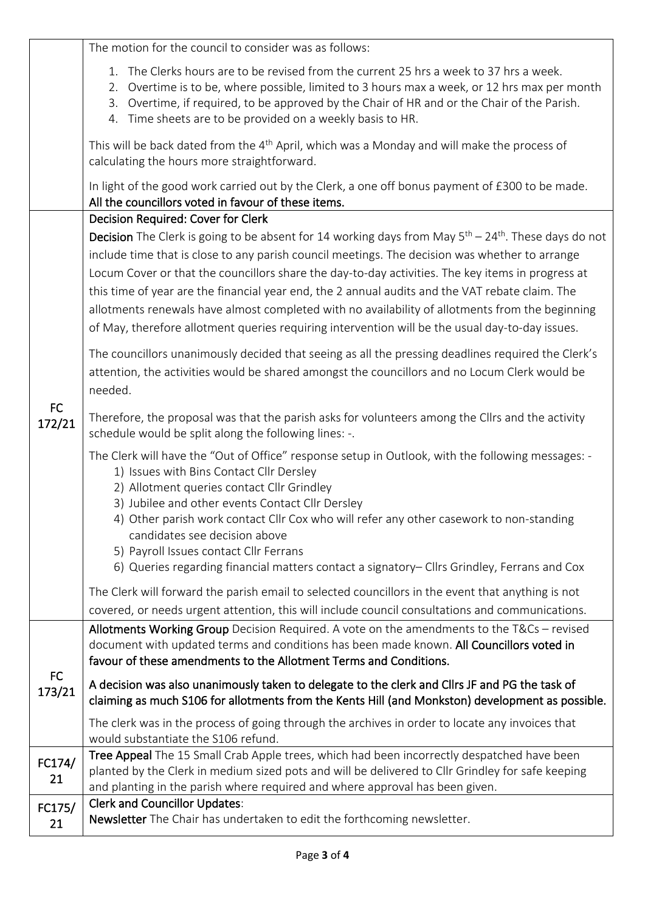|                     | The motion for the council to consider was as follows:                                                                                                                                                                                                                                                                                                                                                                                                                                                                                                                                                                                                              |
|---------------------|---------------------------------------------------------------------------------------------------------------------------------------------------------------------------------------------------------------------------------------------------------------------------------------------------------------------------------------------------------------------------------------------------------------------------------------------------------------------------------------------------------------------------------------------------------------------------------------------------------------------------------------------------------------------|
|                     | 1. The Clerks hours are to be revised from the current 25 hrs a week to 37 hrs a week.<br>Overtime is to be, where possible, limited to 3 hours max a week, or 12 hrs max per month<br>2.<br>Overtime, if required, to be approved by the Chair of HR and or the Chair of the Parish.<br>3.<br>4. Time sheets are to be provided on a weekly basis to HR.                                                                                                                                                                                                                                                                                                           |
|                     | This will be back dated from the 4 <sup>th</sup> April, which was a Monday and will make the process of<br>calculating the hours more straightforward.                                                                                                                                                                                                                                                                                                                                                                                                                                                                                                              |
|                     | In light of the good work carried out by the Clerk, a one off bonus payment of £300 to be made.<br>All the councillors voted in favour of these items.                                                                                                                                                                                                                                                                                                                                                                                                                                                                                                              |
|                     | Decision Required: Cover for Clerk<br><b>Decision</b> The Clerk is going to be absent for 14 working days from May $5th - 24th$ . These days do not<br>include time that is close to any parish council meetings. The decision was whether to arrange<br>Locum Cover or that the councillors share the day-to-day activities. The key items in progress at<br>this time of year are the financial year end, the 2 annual audits and the VAT rebate claim. The<br>allotments renewals have almost completed with no availability of allotments from the beginning<br>of May, therefore allotment queries requiring intervention will be the usual day-to-day issues. |
| <b>FC</b><br>172/21 | The councillors unanimously decided that seeing as all the pressing deadlines required the Clerk's<br>attention, the activities would be shared amongst the councillors and no Locum Clerk would be<br>needed.                                                                                                                                                                                                                                                                                                                                                                                                                                                      |
|                     | Therefore, the proposal was that the parish asks for volunteers among the Cllrs and the activity<br>schedule would be split along the following lines: -.                                                                                                                                                                                                                                                                                                                                                                                                                                                                                                           |
|                     | The Clerk will have the "Out of Office" response setup in Outlook, with the following messages: -<br>1) Issues with Bins Contact Cllr Dersley<br>2) Allotment queries contact Cllr Grindley<br>3) Jubilee and other events Contact Cllr Dersley<br>4) Other parish work contact Cllr Cox who will refer any other casework to non-standing<br>candidates see decision above<br>5) Payroll Issues contact Cllr Ferrans<br>6) Queries regarding financial matters contact a signatory– Cllrs Grindley, Ferrans and Cox                                                                                                                                                |
|                     | The Clerk will forward the parish email to selected councillors in the event that anything is not<br>covered, or needs urgent attention, this will include council consultations and communications.                                                                                                                                                                                                                                                                                                                                                                                                                                                                |
|                     | Allotments Working Group Decision Required. A vote on the amendments to the T&Cs - revised<br>document with updated terms and conditions has been made known. All Councillors voted in<br>favour of these amendments to the Allotment Terms and Conditions.                                                                                                                                                                                                                                                                                                                                                                                                         |
| FC<br>173/21        | A decision was also unanimously taken to delegate to the clerk and Cllrs JF and PG the task of<br>claiming as much S106 for allotments from the Kents Hill (and Monkston) development as possible.                                                                                                                                                                                                                                                                                                                                                                                                                                                                  |
|                     | The clerk was in the process of going through the archives in order to locate any invoices that<br>would substantiate the S106 refund.                                                                                                                                                                                                                                                                                                                                                                                                                                                                                                                              |
| FC174/<br>21        | Tree Appeal The 15 Small Crab Apple trees, which had been incorrectly despatched have been<br>planted by the Clerk in medium sized pots and will be delivered to Cllr Grindley for safe keeping<br>and planting in the parish where required and where approval has been given.                                                                                                                                                                                                                                                                                                                                                                                     |
| FC175/<br>21        | <b>Clerk and Councillor Updates:</b><br>Newsletter The Chair has undertaken to edit the forthcoming newsletter.                                                                                                                                                                                                                                                                                                                                                                                                                                                                                                                                                     |